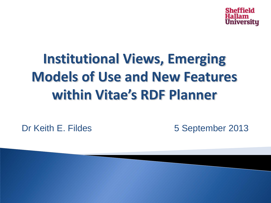

# **Institutional Views, Emerging Models of Use and New Features within Vitae's RDF Planner**

Dr Keith E. Fildes 5 September 2013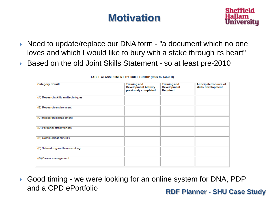### **Motivation**



- ▶ Need to update/replace our DNA form "a document which no one loves and which I would like to bury with a stake through its heart"
- ▶ Based on the old Joint Skills Statement so at least pre-2010

| <b>Category of skill</b>           | <b>Training and</b><br><b>Development Activity</b><br>previously completed | <b>Training and</b><br><b>Development</b><br>Required | Anticipated source of<br>skills development |
|------------------------------------|----------------------------------------------------------------------------|-------------------------------------------------------|---------------------------------------------|
| (A) Research skills and techniques |                                                                            |                                                       |                                             |
| (B) Research environment           |                                                                            |                                                       |                                             |
| (C) Research management            |                                                                            |                                                       |                                             |
| (D) Personal effectiveness         |                                                                            |                                                       |                                             |
| (E) Communication skills           |                                                                            |                                                       |                                             |
| (F) Networking and team-working    |                                                                            |                                                       |                                             |
| (G) Career management              |                                                                            |                                                       |                                             |

#### TABLE A: ASSESSMENT BY SKILL GROUP (refer to Table B)

**RDF Planner - SHU Case Study** Good timing - we were looking for an online system for DNA, PDP and a CPD ePortfolio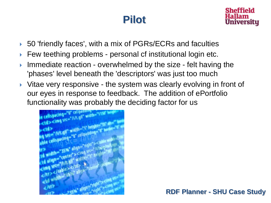#### **Pilot**



- ▶ 50 'friendly faces', with a mix of PGRs/ECRs and faculties
- ▶ Few teething problems personal cf institutional login etc.
- **Immediate reaction overwhelmed by the size felt having the** 'phases' level beneath the 'descriptors' was just too much
- ▶ Vitae very responsive the system was clearly evolving in front of our eyes in response to feedback. The addition of ePortfolio functionality was probably the deciding factor for us

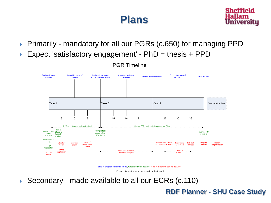#### **Plans**



- ▶ Primarily mandatory for all our PGRs (c.650) for managing PPD
- Expect 'satisfactory engagement'  $PhD =$  thesis +  $PPD$



**PGR Timeline** 

Blue = progression milestone, Green = PPD activity, Red = other indicative activity

For part-time students, increase by a factor of 2

▶ Secondary - made available to all our ECRs (c.110)

**RDF Planner - SHU Case Study**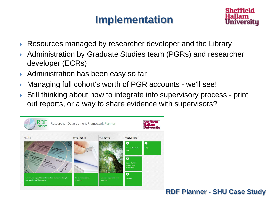#### **Implementation**



- ▶ Resources managed by researcher developer and the Library
- ▶ Administration by Graduate Studies team (PGRs) and researcher developer (ECRs)
- ▶ Administration has been easy so far
- Managing full cohort's worth of PGR accounts we'll see!
- Still thinking about how to integrate into supervisory process print out reports, or a way to share evidence with supervisors?

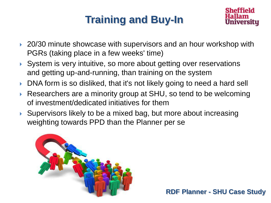## **Training and Buy-In**



- ▶ 20/30 minute showcase with supervisors and an hour workshop with PGRs (taking place in a few weeks' time)
- ▶ System is very intuitive, so more about getting over reservations and getting up-and-running, than training on the system
- ▶ DNA form is so disliked, that it's not likely going to need a hard sell
- ▶ Researchers are a minority group at SHU, so tend to be welcoming of investment/dedicated initiatives for them
- ▶ Supervisors likely to be a mixed bag, but more about increasing weighting towards PPD than the Planner per se

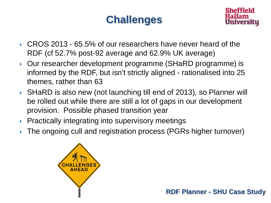### **Challenges**



- CROS 2013 65.5% of our researchers have never heard of the RDF (cf 52.7% post-92 average and 62.9% UK average)
- ▶ Our researcher development programme (SHaRD programme) is informed by the RDF, but isn't strictly aligned - rationalised into 25 themes, rather than 63
- ▶ SHaRD is also new (not launching till end of 2013), so Planner will be rolled out while there are still a lot of gaps in our development provision. Possible phased transition year
- $\triangleright$  Practically integrating into supervisory meetings
- ▶ The ongoing cull and registration process (PGRs higher turnover)